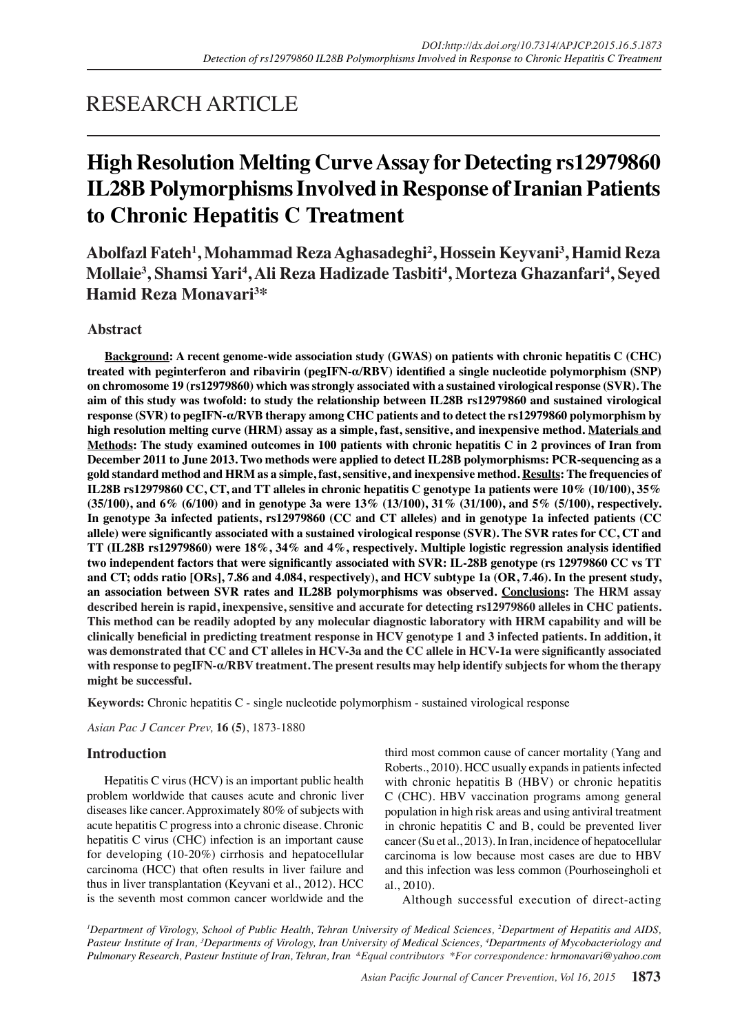# RESEARCH ARTICLE

# **High Resolution Melting Curve Assay for Detecting rs12979860 IL28B Polymorphisms Involved in Response of Iranian Patients to Chronic Hepatitis C Treatment**

**Abolfazl Fateh<sup>1</sup> , Mohammad Reza Aghasadeghi<sup>2</sup> , Hossein Keyvani<sup>3</sup> , Hamid Reza Mollaie<sup>3</sup> , Shamsi Yari4 , Ali Reza Hadizade Tasbiti4 , Morteza Ghazanfari4 , Seyed Hamid Reza Monavari<sup>3</sup> \***

# **Abstract**

**Background: A recent genome-wide association study (GWAS) on patients with chronic hepatitis C (CHC) treated with peginterferon and ribavirin (pegIFN-α/RBV) identified a single nucleotide polymorphism (SNP) on chromosome 19 (rs12979860) which was strongly associated with a sustained virological response (SVR). The aim of this study was twofold: to study the relationship between IL28B rs12979860 and sustained virological response (SVR) to pegIFN-α/RVB therapy among CHC patients and to detect the rs12979860 polymorphism by high resolution melting curve (HRM) assay as a simple, fast, sensitive, and inexpensive method. Materials and Methods: The study examined outcomes in 100 patients with chronic hepatitis C in 2 provinces of Iran from December 2011 to June 2013. Two methods were applied to detect IL28B polymorphisms: PCR-sequencing as a gold standard method and HRM as a simple, fast, sensitive, and inexpensive method. Results: The frequencies of IL28B rs12979860 CC, CT, and TT alleles in chronic hepatitis C genotype 1a patients were 10% (10/100), 35% (35/100), and 6% (6/100) and in genotype 3a were 13% (13/100), 31% (31/100), and 5% (5/100), respectively. In genotype 3a infected patients, rs12979860 (CC and CT alleles) and in genotype 1a infected patients (CC allele) were significantly associated with a sustained virological response (SVR). The SVR rates for CC, CT and TT (IL28B rs12979860) were 18%, 34% and 4%, respectively. Multiple logistic regression analysis identified two independent factors that were significantly associated with SVR: IL-28B genotype (rs 12979860 CC vs TT and CT; odds ratio [ORs], 7.86 and 4.084, respectively), and HCV subtype 1a (OR, 7.46). In the present study, an association between SVR rates and IL28B polymorphisms was observed. Conclusions: The HRM assay described herein is rapid, inexpensive, sensitive and accurate for detecting rs12979860 alleles in CHC patients. This method can be readily adopted by any molecular diagnostic laboratory with HRM capability and will be clinically beneficial in predicting treatment response in HCV genotype 1 and 3 infected patients. In addition, it was demonstrated that CC and CT alleles in HCV-3a and the CC allele in HCV-1a were significantly associated with response to pegIFN-α/RBV treatment. The present results may help identify subjects for whom the therapy might be successful.**

**Keywords:** Chronic hepatitis C - single nucleotide polymorphism - sustained virological response

*Asian Pac J Cancer Prev,* **16 (5)**, 1873-1880

# **Introduction**

Hepatitis C virus (HCV) is an important public health problem worldwide that causes acute and chronic liver diseases like cancer. Approximately 80% of subjects with acute hepatitis C progress into a chronic disease. Chronic hepatitis C virus (CHC) infection is an important cause for developing (10-20%) cirrhosis and hepatocellular carcinoma (HCC) that often results in liver failure and thus in liver transplantation (Keyvani et al., 2012). HCC is the seventh most common cancer worldwide and the

third most common cause of cancer mortality (Yang and Roberts., 2010). HCC usually expands in patients infected with chronic hepatitis B (HBV) or chronic hepatitis C (CHC). HBV vaccination programs among general population in high risk areas and using antiviral treatment in chronic hepatitis C and B, could be prevented liver cancer (Su et al., 2013). In Iran, incidence of hepatocellular carcinoma is low because most cases are due to HBV and this infection was less common (Pourhoseingholi et al., 2010).

Although successful execution of direct-acting

*1 Department of Virology, School of Public Health, Tehran University of Medical Sciences, 2 Department of Hepatitis and AIDS, Pasteur Institute of Iran, 3 Departments of Virology, Iran University of Medical Sciences, 4 Departments of Mycobacteriology and Pulmonary Research, Pasteur Institute of Iran, Tehran, Iran &Equal contributors \*For correspondence: hrmonavari@yahoo.com*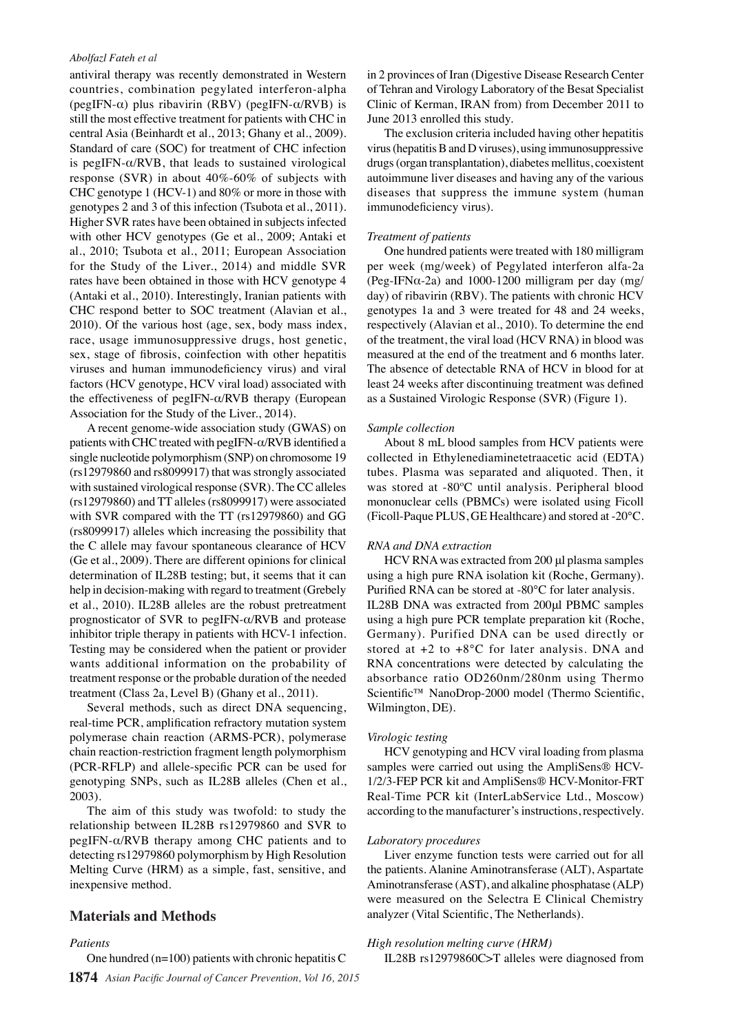antiviral therapy was recently demonstrated in Western countries, combination pegylated interferon-alpha (pegIFN- $\alpha$ ) plus ribavirin (RBV) (pegIFN- $\alpha$ /RVB) is still the most effective treatment for patients with CHC in central Asia (Beinhardt et al., 2013; Ghany et al., 2009). Standard of care (SOC) for treatment of CHC infection is pegIFN- $\alpha$ /RVB, that leads to sustained virological response (SVR) in about 40%-60% of subjects with CHC genotype 1 (HCV-1) and 80% or more in those with genotypes 2 and 3 of this infection (Tsubota et al., 2011). Higher SVR rates have been obtained in subjects infected with other HCV genotypes (Ge et al., 2009; Antaki et al., 2010; Tsubota et al., 2011; European Association for the Study of the Liver., 2014) and middle SVR rates have been obtained in those with HCV genotype 4 (Antaki et al., 2010). Interestingly, Iranian patients with CHC respond better to SOC treatment (Alavian et al., 2010). Of the various host (age, sex, body mass index, race, usage immunosuppressive drugs, host genetic, sex, stage of fibrosis, coinfection with other hepatitis viruses and human immunodeficiency virus) and viral factors (HCV genotype, HCV viral load) associated with the effectiveness of pegIFN- $\alpha$ /RVB therapy (European Association for the Study of the Liver., 2014).

A recent genome-wide association study (GWAS) on patients with CHC treated with pegIFN-α/RVB identified a single nucleotide polymorphism (SNP) on chromosome 19 (rs12979860 and rs8099917) that was strongly associated with sustained virological response (SVR). The CC alleles (rs12979860) and TT alleles (rs8099917) were associated with SVR compared with the TT (rs12979860) and GG (rs8099917) alleles which increasing the possibility that the C allele may favour spontaneous clearance of HCV (Ge et al., 2009). There are different opinions for clinical determination of IL28B testing; but, it seems that it can help in decision-making with regard to treatment (Grebely et al., 2010). IL28B alleles are the robust pretreatment prognosticator of SVR to pegIFN-α/RVB and protease inhibitor triple therapy in patients with HCV-1 infection. Testing may be considered when the patient or provider wants additional information on the probability of treatment response or the probable duration of the needed treatment (Class 2a, Level B) (Ghany et al., 2011).

Several methods, such as direct DNA sequencing, real-time PCR, amplification refractory mutation system polymerase chain reaction (ARMS-PCR), polymerase chain reaction-restriction fragment length polymorphism (PCR-RFLP) and allele-specific PCR can be used for genotyping SNPs, such as IL28B alleles (Chen et al., 2003).

The aim of this study was twofold: to study the relationship between IL28B rs12979860 and SVR to pegIFN-α/RVB therapy among CHC patients and to detecting rs12979860 polymorphism by High Resolution Melting Curve (HRM) as a simple, fast, sensitive, and inexpensive method.

#### **Materials and Methods**

#### *Patients*

One hundred (n=100) patients with chronic hepatitis C

**1874** *Asian Pacific Journal of Cancer Prevention, Vol 16, 2015*

in 2 provinces of Iran (Digestive Disease Research Center of Tehran and Virology Laboratory of the Besat Specialist Clinic of Kerman, IRAN from) from December 2011 to June 2013 enrolled this study.

The exclusion criteria included having other hepatitis virus (hepatitis B and D viruses), using immunosuppressive drugs (organ transplantation), diabetes mellitus, coexistent autoimmune liver diseases and having any of the various diseases that suppress the immune system (human immunodeficiency virus).

#### *Treatment of patients*

One hundred patients were treated with 180 milligram per week (mg/week) of Pegylated interferon alfa-2a (Peg-IFN $\alpha$ -2a) and 1000-1200 milligram per day (mg/ day) of ribavirin (RBV). The patients with chronic HCV genotypes 1a and 3 were treated for 48 and 24 weeks, respectively (Alavian et al., 2010). To determine the end of the treatment, the viral load (HCV RNA) in blood was measured at the end of the treatment and 6 months later. The absence of detectable RNA of HCV in blood for at least 24 weeks after discontinuing treatment was defined as a Sustained Virologic Response (SVR) (Figure 1).

#### *Sample collection*

About 8 mL blood samples from HCV patients were collected in Ethylenediaminetetraacetic acid (EDTA) tubes. Plasma was separated and aliquoted. Then, it was stored at -80ºC until analysis. Peripheral blood mononuclear cells (PBMCs) were isolated using Ficoll (Ficoll-Paque PLUS, GE Healthcare) and stored at -20°C.

#### *RNA and DNA extraction*

HCV RNA was extracted from 200 μl plasma samples using a high pure RNA isolation kit (Roche, Germany). Purified RNA can be stored at -80°C for later analysis. IL28B DNA was extracted from 200μl PBMC samples using a high pure PCR template preparation kit (Roche, Germany). Purified DNA can be used directly or stored at  $+2$  to  $+8^{\circ}$ C for later analysis. DNA and RNA concentrations were detected by calculating the absorbance ratio OD260nm/280nm using Thermo Scientific™ NanoDrop-2000 model (Thermo Scientific, Wilmington, DE).

#### *Virologic testing*

HCV genotyping and HCV viral loading from plasma samples were carried out using the AmpliSens® HCV-1/2/3-FEP PCR kit and AmpliSens® HCV-Monitor-FRT Real-Time PCR kit (InterLabService Ltd., Moscow) according to the manufacturer's instructions, respectively.

#### *Laboratory procedures*

Liver enzyme function tests were carried out for all the patients. Alanine Aminotransferase (ALT), Aspartate Aminotransferase (AST), and alkaline phosphatase (ALP) were measured on the Selectra E Clinical Chemistry analyzer (Vital Scientific, The Netherlands).

#### *High resolution melting curve (HRM)*

IL28B rs12979860C>T alleles were diagnosed from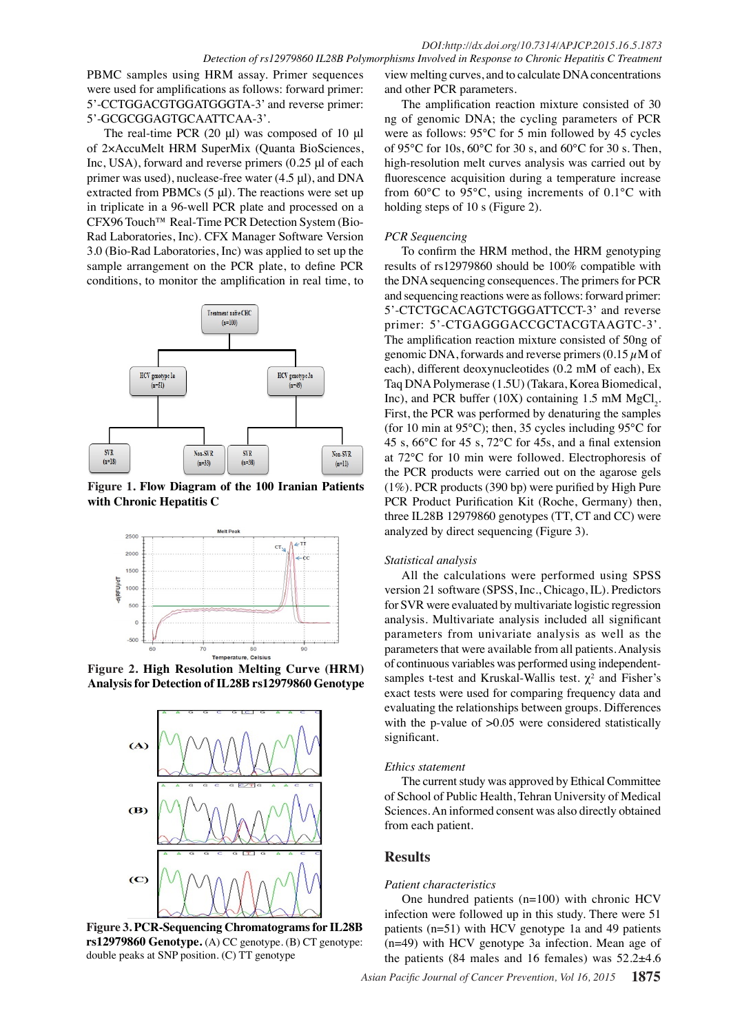PBMC samples using HRM assay. Primer sequences were used for amplifications as follows: forward primer: 5'-CCTGGACGTGGATGGGTA-3' and reverse primer: 5'-GCGCGGAGTGCAATTCAA-3'.

The real-time PCR (20 μl) was composed of 10 μl of 2×AccuMelt HRM SuperMix (Quanta BioSciences, Inc, USA), forward and reverse primers (0.25 μl of each primer was used), nuclease-free water (4.5 μl), and DNA extracted from PBMCs  $(5 \mu l)$ . The reactions were set up in triplicate in a 96-well PCR plate and processed on a CFX96 Touch™ Real-Time PCR Detection System (Bio-Rad Laboratories, Inc). CFX Manager Software Version 3.0 (Bio-Rad Laboratories, Inc) was applied to set up the sample arrangement on the PCR plate, to define PCR conditions, to monitor the amplification in real time, to



**Figure 1. Flow Diagram of the 100 Iranian Patients with Chronic Hepatitis C** 



**Figure 2. High Resolution Melting Curve (HRM) Analysis for Detection of IL28B rs12979860 Genotype**



**Figure 3. PCR-Sequencing Chromatograms for IL28B rs12979860 Genotype.** (A) CC genotype. (B) CT genotype: double peaks at SNP position. (C) TT genotype

view melting curves, and to calculate DNA concentrations and other PCR parameters.

The amplification reaction mixture consisted of 30 ng of genomic DNA; the cycling parameters of PCR were as follows: 95°C for 5 min followed by 45 cycles of 95°C for 10s, 60°C for 30 s, and 60°C for 30 s. Then, high-resolution melt curves analysis was carried out by fluorescence acquisition during a temperature increase from 60°C to 95°C, using increments of 0.1°C with holding steps of 10 s (Figure 2).

#### *PCR Sequencing*

To confirm the HRM method, the HRM genotyping results of rs12979860 should be 100% compatible with the DNA sequencing consequences. The primers for PCR and sequencing reactions were as follows: forward primer: 5'-CTCTGCACAGTCTGGGATTCCT-3' and reverse primer: 5'-CTGAGGGACCGCTACGTAAGTC-3'. The amplification reaction mixture consisted of 50ng of genomic DNA, forwards and reverse primers  $(0.15 \mu M)$  of each), different deoxynucleotides (0.2 mM of each), Ex Taq DNA Polymerase (1.5U) (Takara, Korea Biomedical, Inc), and PCR buffer (10X) containing 1.5 mM  $MgCl_2$ . First, the PCR was performed by denaturing the samples (for 10 min at 95°C); then, 35 cycles including 95°C for 45 s, 66°C for 45 s, 72°C for 45s, and a final extension at 72°C for 10 min were followed. Electrophoresis of the PCR products were carried out on the agarose gels (1%). PCR products (390 bp) were purified by High Pure PCR Product Purification Kit (Roche, Germany) then, three IL28B 12979860 genotypes (TT, CT and CC) were analyzed by direct sequencing (Figure 3).

#### *Statistical analysis*

All the calculations were performed using SPSS version 21 software (SPSS, Inc., Chicago, IL). Predictors for SVR were evaluated by multivariate logistic regression analysis. Multivariate analysis included all significant parameters from univariate analysis as well as the parameters that were available from all patients. Analysis of continuous variables was performed using independentsamples t-test and Kruskal-Wallis test.  $\chi^2$  and Fisher's exact tests were used for comparing frequency data and evaluating the relationships between groups. Differences with the p-value of  $>0.05$  were considered statistically significant.

#### *Ethics statement*

The current study was approved by Ethical Committee of School of Public Health, Tehran University of Medical Sciences. An informed consent was also directly obtained from each patient.

## **Results**

#### *Patient characteristics*

One hundred patients (n=100) with chronic HCV infection were followed up in this study. There were 51 patients (n=51) with HCV genotype 1a and 49 patients (n=49) with HCV genotype 3a infection. Mean age of the patients (84 males and 16 females) was 52.2±4.6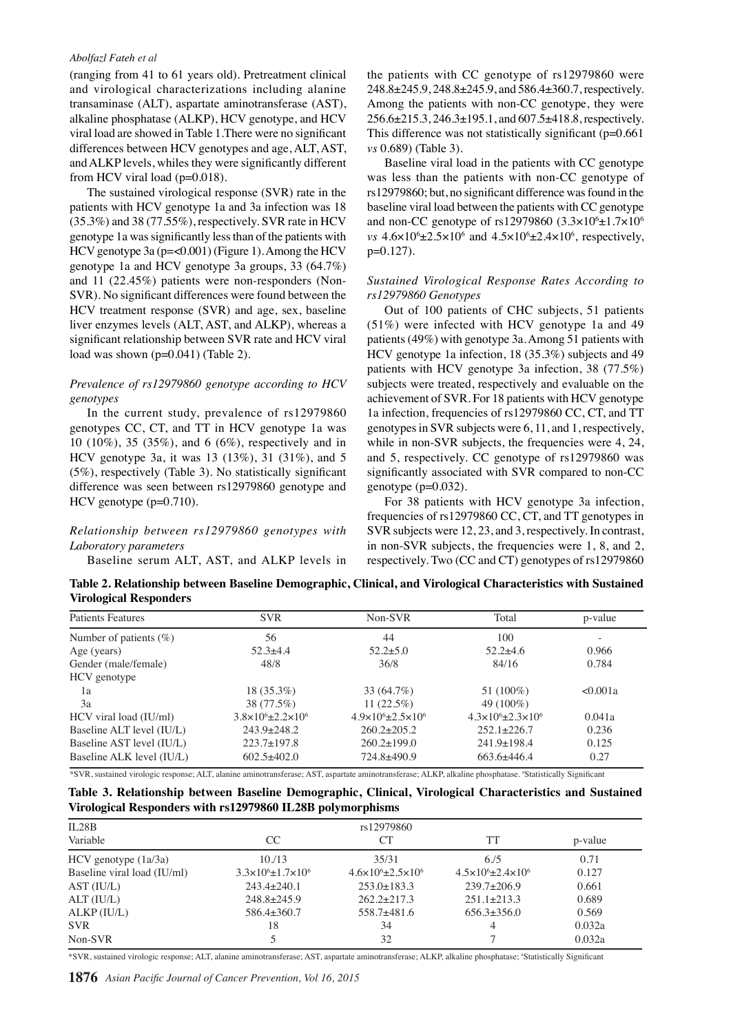(ranging from 41 to 61 years old). Pretreatment clinical and virological characterizations including alanine transaminase (ALT), aspartate aminotransferase (AST), alkaline phosphatase (ALKP), HCV genotype, and HCV viral load are showed in Table 1.There were no significant differences between HCV genotypes and age, ALT, AST, and ALKP levels, whiles they were significantly different from HCV viral load ( $p=0.018$ ).

The sustained virological response (SVR) rate in the patients with HCV genotype 1a and 3a infection was 18 (35.3%) and 38 (77.55%), respectively. SVR rate in HCV genotype 1a was significantly less than of the patients with HCV genotype 3a (p=<0.001) (Figure 1). Among the HCV genotype 1a and HCV genotype 3a groups, 33 (64.7%) and 11 (22.45%) patients were non-responders (Non-SVR). No significant differences were found between the HCV treatment response (SVR) and age, sex, baseline liver enzymes levels (ALT, AST, and ALKP), whereas a significant relationship between SVR rate and HCV viral load was shown (p=0.041) (Table 2).

#### *Prevalence of rs12979860 genotype according to HCV genotypes*

In the current study, prevalence of rs12979860 genotypes CC, CT, and TT in HCV genotype 1a was 10 (10%), 35 (35%), and 6 (6%), respectively and in HCV genotype 3a, it was 13 (13%), 31 (31%), and 5 (5%), respectively (Table 3). No statistically significant difference was seen between rs12979860 genotype and HCV genotype (p=0.710).

### *Relationship between rs12979860 genotypes with Laboratory parameters*

Baseline serum ALT, AST, and ALKP levels in

the patients with CC genotype of rs12979860 were 248.8±245.9, 248.8±245.9, and 586.4±360.7, respectively. Among the patients with non-CC genotype, they were 256.6±215.3, 246.3±195.1, and 607.5±418.8, respectively. This difference was not statistically significant  $(p=0.661)$ *vs* 0.689) (Table 3).

Baseline viral load in the patients with CC genotype was less than the patients with non-CC genotype of rs12979860; but, no significant difference was found in the baseline viral load between the patients with CC genotype and non-CC genotype of  $rs12979860$  (3.3×10<sup>6</sup>±1.7×10<sup>6</sup>)  $vs$  4.6×10<sup>6</sup>±2.5×10<sup>6</sup> and 4.5×10<sup>6</sup>±2.4×10<sup>6</sup>, respectively, p=0.127).

#### *Sustained Virological Response Rates According to rs12979860 Genotypes*

Out of 100 patients of CHC subjects, 51 patients (51%) were infected with HCV genotype 1a and 49 patients (49%) with genotype 3a. Among 51 patients with HCV genotype 1a infection, 18 (35.3%) subjects and 49 patients with HCV genotype 3a infection, 38 (77.5%) subjects were treated, respectively and evaluable on the achievement of SVR. For 18 patients with HCV genotype 1a infection, frequencies of rs12979860 CC, CT, and TT genotypes in SVR subjects were 6, 11, and 1, respectively, while in non-SVR subjects, the frequencies were 4, 24, and 5, respectively. CC genotype of rs12979860 was significantly associated with SVR compared to non-CC genotype  $(p=0.032)$ .

For 38 patients with HCV genotype 3a infection, frequencies of rs12979860 CC, CT, and TT genotypes in SVR subjects were 12, 23, and 3, respectively. In contrast, in non-SVR subjects, the frequencies were 1, 8, and 2, respectively. Two (CC and CT) genotypes of rs12979860

**Table 2. Relationship between Baseline Demographic, Clinical, and Virological Characteristics with Sustained Virological Responders**

| <b>Patients Features</b>   | <b>SVR</b>                              | Non-SVR                                 | Total                                  | p-value  |  |
|----------------------------|-----------------------------------------|-----------------------------------------|----------------------------------------|----------|--|
| Number of patients $(\% )$ | 56                                      | 44                                      | 100                                    |          |  |
| Age (years)                | $52.3 + 4.4$                            | $52.2 + 5.0$                            | $52.2+4.6$                             | 0.966    |  |
| Gender (male/female)       | 48/8                                    | 36/8                                    | 84/16                                  | 0.784    |  |
| HCV genotype               |                                         |                                         |                                        |          |  |
| 1a                         | $18(35.3\%)$                            | 33 (64.7%)                              | 51 (100%)                              | < 0.001a |  |
| 3a                         | 38 (77.5%)                              | $11(22.5\%)$                            | 49 (100%)                              |          |  |
| HCV viral load (IU/ml)     | $3.8 \times 10^{6} + 2.2 \times 10^{6}$ | $4.9 \times 10^{6} + 2.5 \times 10^{6}$ | $4.3\times10^{6}$ + 2.3 $\times10^{6}$ | 0.041a   |  |
| Baseline ALT level (IU/L)  | $243.9 \pm 248.2$                       | $260.2 \pm 205.2$                       | $252.1 \pm 226.7$                      | 0.236    |  |
| Baseline AST level (IU/L)  | $223.7 \pm 197.8$                       | $260.2 \pm 199.0$                       | $241.9 \pm 198.4$                      | 0.125    |  |
| Baseline ALK level (IU/L)  | $602.5 + 402.0$                         | 724.8±490.9                             | $663.6 + 446.4$                        | 0.27     |  |

\*SVR, sustained virologic response; ALT, alanine aminotransferase; AST, aspartate aminotransferase; ALKP, alkaline phosphatase. a Statistically Significant

| Table 3. Relationship between Baseline Demographic, Clinical, Virological Characteristics and Sustained |  |  |  |  |
|---------------------------------------------------------------------------------------------------------|--|--|--|--|
| Virological Responders with rs12979860 IL28B polymorphisms                                              |  |  |  |  |

| IL28B                       |                                   |                                         |                                           |         |  |
|-----------------------------|-----------------------------------|-----------------------------------------|-------------------------------------------|---------|--|
| Variable                    | <sub>CC</sub>                     | CТ                                      | TT                                        | p-value |  |
| $HCV$ genotype $(1a/3a)$    | 10.13                             | 35/31                                   | 6/5                                       | 0.71    |  |
| Baseline viral load (IU/ml) | $3.3\times10^{6}+1.7\times10^{6}$ | $4.6 \times 10^{6} + 2.5 \times 10^{6}$ | $4.5 \times 10^{6} \pm 2.4 \times 10^{6}$ | 0.127   |  |
| AST (IU/L)                  | $243.4 \pm 240.1$                 | $253.0 \pm 183.3$                       | $239.7+206.9$                             | 0.661   |  |
| ALT (IU/L)                  | $248.8 + 245.9$                   | $262.2 \pm 217.3$                       | $251.1 \pm 213.3$                         | 0.689   |  |
| ALKP (IU/L)                 | $586.4\pm360.7$                   | $558.7 + 481.6$                         | $656.3+356.0$                             | 0.569   |  |
| <b>SVR</b>                  | 18                                | 34                                      |                                           | 0.032a  |  |
| Non-SVR                     |                                   | 32                                      |                                           | 0.032a  |  |

\*SVR, sustained virologic response; ALT, alanine aminotransferase; AST, aspartate aminotransferase; ALKP, alkaline phosphatase; a Statistically Significant

**1876** *Asian Pacific Journal of Cancer Prevention, Vol 16, 2015*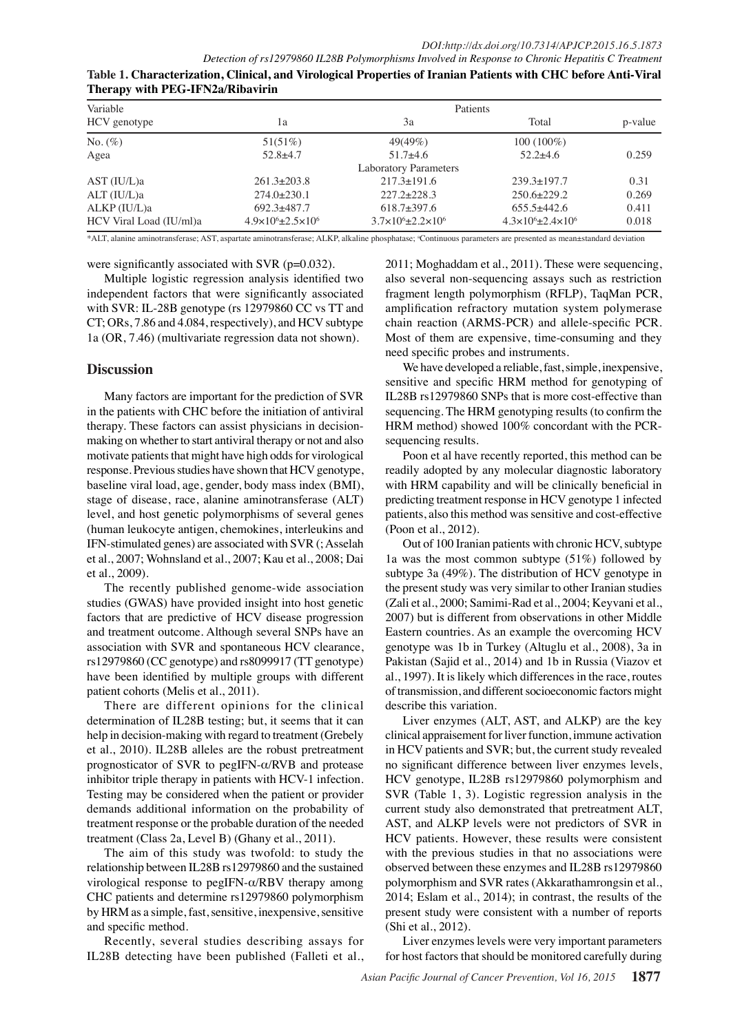| Variable                |                                           | Patients                              |                                           |         |  |  |  |  |
|-------------------------|-------------------------------------------|---------------------------------------|-------------------------------------------|---------|--|--|--|--|
| HCV genotype            | lа                                        | 3a                                    | Total                                     | p-value |  |  |  |  |
| No. $(\%)$              | 51(51%)                                   | 49(49%)                               | $100(100\%)$                              |         |  |  |  |  |
| Agea                    | $52.8 + 4.7$                              | $51.7+4.6$                            | $52.2+4.6$                                | 0.259   |  |  |  |  |
|                         |                                           | <b>Laboratory Parameters</b>          |                                           |         |  |  |  |  |
| AST (IU/L)a             | $261.3 \pm 203.8$                         | $217.3 \pm 191.6$                     | $239.3 \pm 197.7$                         | 0.31    |  |  |  |  |
| $ALT$ (IU/L)a           | $274.0 \pm 230.1$                         | $227.2+228.3$                         | $250.6 \pm 229.2$                         | 0.269   |  |  |  |  |
| ALKP (IU/L)a            | $692.3+487.7$                             | $618.7+397.6$                         | $655.5+442.6$                             | 0.411   |  |  |  |  |
| HCV Viral Load (IU/ml)a | $4.9 \times 10^{6} \pm 2.5 \times 10^{6}$ | $3.7\times10^{6} \pm 2.2\times10^{6}$ | $4.3 \times 10^{6} \pm 2.4 \times 10^{6}$ | 0.018   |  |  |  |  |

|                                                                                                                |  | $\mathcal{A}$ , and the set of the set of the set of the set of the set of the set of the set of the set of the set of the set of the set of the set of the set of the set of the set of the set of the set of the set of the set |  |  |
|----------------------------------------------------------------------------------------------------------------|--|-----------------------------------------------------------------------------------------------------------------------------------------------------------------------------------------------------------------------------------|--|--|
| Table 1. Characterization, Clinical, and Virological Properties of Iranian Patients with CHC before Anti-Viral |  |                                                                                                                                                                                                                                   |  |  |
| Therapy with PEG-IFN2a/Ribavirin                                                                               |  |                                                                                                                                                                                                                                   |  |  |

\*ALT, alanine aminotransferase; AST, aspartate aminotransferase; ALKP, alkaline phosphatase; \*Continuous parameters are presented as mean±standard deviation

were significantly associated with SVR (p=0.032).

Multiple logistic regression analysis identified two independent factors that were significantly associated with SVR: IL-28B genotype (rs 12979860 CC vs TT and CT; ORs, 7.86 and 4.084, respectively), and HCV subtype 1a (OR, 7.46) (multivariate regression data not shown).

## **Discussion**

Many factors are important for the prediction of SVR in the patients with CHC before the initiation of antiviral therapy. These factors can assist physicians in decisionmaking on whether to start antiviral therapy or not and also motivate patients that might have high odds for virological response. Previous studies have shown that HCV genotype, baseline viral load, age, gender, body mass index (BMI), stage of disease, race, alanine aminotransferase (ALT) level, and host genetic polymorphisms of several genes (human leukocyte antigen, chemokines, interleukins and IFN-stimulated genes) are associated with SVR (; Asselah et al., 2007; Wohnsland et al., 2007; Kau et al., 2008; Dai et al., 2009).

The recently published genome-wide association studies (GWAS) have provided insight into host genetic factors that are predictive of HCV disease progression and treatment outcome. Although several SNPs have an association with SVR and spontaneous HCV clearance, rs12979860 (CC genotype) and rs8099917 (TT genotype) have been identified by multiple groups with different patient cohorts (Melis et al., 2011).

There are different opinions for the clinical determination of IL28B testing; but, it seems that it can help in decision-making with regard to treatment (Grebely et al., 2010). IL28B alleles are the robust pretreatment prognosticator of SVR to pegIFN-α/RVB and protease inhibitor triple therapy in patients with HCV-1 infection. Testing may be considered when the patient or provider demands additional information on the probability of treatment response or the probable duration of the needed treatment (Class 2a, Level B) (Ghany et al., 2011).

The aim of this study was twofold: to study the relationship between IL28B rs12979860 and the sustained virological response to pegIFN-α/RBV therapy among CHC patients and determine rs12979860 polymorphism by HRM as a simple, fast, sensitive, inexpensive, sensitive and specific method.

Recently, several studies describing assays for IL28B detecting have been published (Falleti et al., 2011; Moghaddam et al., 2011). These were sequencing, also several non-sequencing assays such as restriction fragment length polymorphism (RFLP), TaqMan PCR, amplification refractory mutation system polymerase chain reaction (ARMS-PCR) and allele-specific PCR. Most of them are expensive, time-consuming and they need specific probes and instruments.

We have developed a reliable, fast, simple, inexpensive, sensitive and specific HRM method for genotyping of IL28B rs12979860 SNPs that is more cost-effective than sequencing. The HRM genotyping results (to confirm the HRM method) showed 100% concordant with the PCRsequencing results.

Poon et al have recently reported, this method can be readily adopted by any molecular diagnostic laboratory with HRM capability and will be clinically beneficial in predicting treatment response in HCV genotype 1 infected patients, also this method was sensitive and cost-effective (Poon et al., 2012).

Out of 100 Iranian patients with chronic HCV, subtype 1a was the most common subtype (51%) followed by subtype 3a (49%). The distribution of HCV genotype in the present study was very similar to other Iranian studies (Zali et al., 2000; Samimi-Rad et al., 2004; Keyvani et al., 2007) but is different from observations in other Middle Eastern countries. As an example the overcoming HCV genotype was 1b in Turkey (Altuglu et al., 2008), 3a in Pakistan (Sajid et al., 2014) and 1b in Russia (Viazov et al., 1997). It is likely which differences in the race, routes of transmission, and different socioeconomic factors might describe this variation.

Liver enzymes (ALT, AST, and ALKP) are the key clinical appraisement for liver function, immune activation in HCV patients and SVR; but, the current study revealed no significant difference between liver enzymes levels, HCV genotype, IL28B rs12979860 polymorphism and SVR (Table 1, 3). Logistic regression analysis in the current study also demonstrated that pretreatment ALT, AST, and ALKP levels were not predictors of SVR in HCV patients. However, these results were consistent with the previous studies in that no associations were observed between these enzymes and IL28B rs12979860 polymorphism and SVR rates (Akkarathamrongsin et al., 2014; Eslam et al., 2014); in contrast, the results of the present study were consistent with a number of reports (Shi et al., 2012).

Liver enzymes levels were very important parameters for host factors that should be monitored carefully during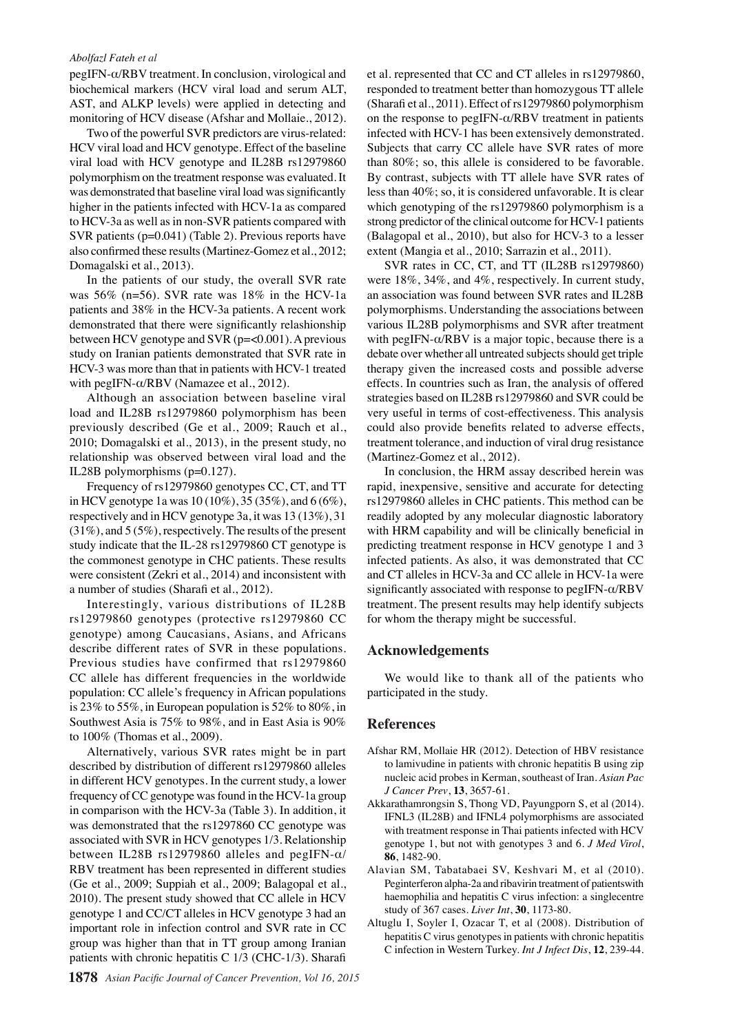pegIFN-α/RBV treatment. In conclusion, virological and biochemical markers (HCV viral load and serum ALT, AST, and ALKP levels) were applied in detecting and monitoring of HCV disease (Afshar and Mollaie., 2012).

to HCV-3a as well as in non-SVR patients compared wit**h00.0** trong predictor of the clinical outcome for HCV-1 patient**s00.0** Two of the powerful SVR predictors are virus-related: HCV viral load and HCV genotype. Effect of the baseline viral load with HCV genotype and IL28B rs12979860 polymorphism on the treatment response was evaluated. It was demonstrated that baseline viral load was significantly higher in the patients infected with HCV-1a as compared SVR patients (p=0.041) (Table 2). Previous reports have also confirmed these results (Martinez-Gomez et al., 2012;

In the patients of our study, the overall SVR rate was 56% (n=56). SVR rate was 18% in the HCV-1a patients and 38% in the HCV-3a patients. A recent work between HCV genotype and SVR (p=<0.001). A previous study on Iranian patients demonstrated that SVR rate in with pegIFN-α/RBV (Namazee et al., 2012).

Although an association between baseline viral load and IL28B rs12979860 polymorphism has been previously described (Ge et al., 2009; Rauch et al., 2010; Domagalski et al., 2013), in the present study, no relationship was observed between viral load and the IL28B polymorphisms (p=0.127).

Frequency of rs12979860 genotypes CC, CT, and TT in HCV genotype 1a was 10 (10%), 35 (35%), and 6 (6%), respectively and in HCV genotype 3a, it was 13 (13%), 31 (31%), and 5 (5%), respectively. The results of the present study indicate that the IL-28 rs12979860 CT genotype is the commonest genotype in CHC patients. These results were consistent (Zekri et al., 2014) and inconsistent with a number of studies (Sharafi et al., 2012).

Interestingly, various distributions of IL28B rs12979860 genotypes (protective rs12979860 CC genotype) among Caucasians, Asians, and Africans describe different rates of SVR in these populations. Previous studies have confirmed that rs12979860 CC allele has different frequencies in the worldwide population: CC allele's frequency in African populations is 23% to 55%, in European population is 52% to 80%, in Southwest Asia is 75% to 98%, and in East Asia is 90% to 100% (Thomas et al., 2009).

Alternatively, various SVR rates might be in part described by distribution of different rs12979860 alleles in different HCV genotypes. In the current study, a lower frequency of CC genotype was found in the HCV-1a group in comparison with the HCV-3a (Table 3). In addition, it was demonstrated that the rs1297860 CC genotype was associated with SVR in HCV genotypes 1/3. Relationship between IL28B rs12979860 alleles and pegIFN-α/ RBV treatment has been represented in different studies (Ge et al., 2009; Suppiah et al., 2009; Balagopal et al., 2010). The present study showed that CC allele in HCV genotype 1 and CC/CT alleles in HCV genotype 3 had an important role in infection control and SVR rate in CC group was higher than that in TT group among Iranian patients with chronic hepatitis C 1/3 (CHC-1/3). Sharafi

et al. represented that CC and CT alleles in rs12979860, responded to treatment better than homozygous TT allele (Sharafi et al., 2011). Effect of rs12979860 polymorphism on the response to pegIFN- $\alpha$ /RBV treatment in patients infected with HCV-1 has been extensively demonstrated. Subjects that carry CC allele have SVR rates of more than 80%; so, this allele is considered to be favorable. By contrast, subjects with TT allele have SVR rates of less than 40%; so, it is considered unfavorable. It is clear which genotyping of the rs12979860 polymorphism is a

Qould also provide benefits related to adverse effects,  $HCV-3$  was more than that in patients with HCV-1 treated  $25.0$  herapy given the increased costs and possible adverse  $25.0$ demonstrated that there were significantly relashionship 50.0 arious IL28B polymorphisms and SVR after treatment 50.0 **25.0 24.0 24.0 25.0 25.0 25.0 25.0 25.0 25.0 25.0 25.0 25.0 25.0 25.0 25.0 25.0 25.0 25.0 25.0 25.0 25.0 25.0 25.0 25.0 25.0 25.0 25.0 25.0 25.0 25.0 25.0 25.0** Remission None  $\frac{1}{20.3}$  (Balagonal et al.,  $\frac{20.1}{20.1}$ ), but also for HCV-3 to a lesser **46.8 56.3** an association was found between SVR rates and IL28B **25.0 27.6 33.1 31.3 30.0 23.7 38.0 31.3** strategies based on IL28B rs12979860 and SVR could be 0 0 extent (Mangia et al., 2010; Sarrazin et al., 2011). SVR rates in CC,  $\text{CT}$ , and  $\text{TT}$  (IL28B rs12979860). were  $18\%, 34\%,$  and  $4\%$ , respectively. In current study, polymorphisms. Understanding the associations between with pegIFN- $\alpha$ /RBV is a major topic, because there is a debate over whether all untreated subjects should get triple effects. In countries such as Iran, the analysis of offered very useful in terms of cost-effectiveness. This analysis treatment tolerance, and induction of viral drug resistance (Martinez $\Xi$ Gomez et al., 2012) $\Xi$ 

Newly diagnosed without treatment Newly diagnosed with treatment Persistence or recurrence In conclusion, the HRM assay described herein was rapid, inexpensive, sensitive and accurate for detecting rs129798 $\frac{3}{40}$  alleles  $\frac{1}{10}$  CHC patents. This method can be readily adopted by any molecular diagnostic laboratory with HRM capabilits and will be clinically beneficial in predicting treatment response  $\overline{\text{tn}}$  HCV genotype 1 and 3 infected  $\vec{p}$  atients. A also, it was demonstrated that CC and CT along  $H \rightarrow \infty$ -3a and CC allele in HCV-1a were significantly associated with response to pegIFN- $\alpha$ /RBV treatment. The present results may help identify subjects for whom the therapy might be successful.

# **Acknowledgements**

We would like to thank all of the patients who participated in the study.

#### **References**

- Afshar RM, Mollaie HR (2012). Detection of HBV resistance to lamivudine in patients with chronic hepatitis B using zip nucleic acid probes in Kerman, southeast of Iran. *Asian Pac J Cancer Prev*, **13**, 3657-61.
- Akkarathamrongsin S, Thong VD, Payungporn S, et al (2014). IFNL3 (IL28B) and IFNL4 polymorphisms are associated with treatment response in Thai patients infected with HCV genotype 1, but not with genotypes 3 and 6. *J Med Virol*, **86**, 1482-90.
- Alavian SM, Tabatabaei SV, Keshvari M, et al (2010). Peginterferon alpha-2a and ribavirin treatment of patientswith haemophilia and hepatitis C virus infection: a singlecentre study of 367 cases. *Liver Int*, **30**, 1173-80.
- Altuglu I, Soyler I, Ozacar T, et al (2008). Distribution of hepatitis C virus genotypes in patients with chronic hepatitis C infection in Western Turkey. *Int J Infect Dis*, **12**, 239-44.

**12.8 20.3 6.3 10.1**

**51.1 46.8 56.3 46.856.3**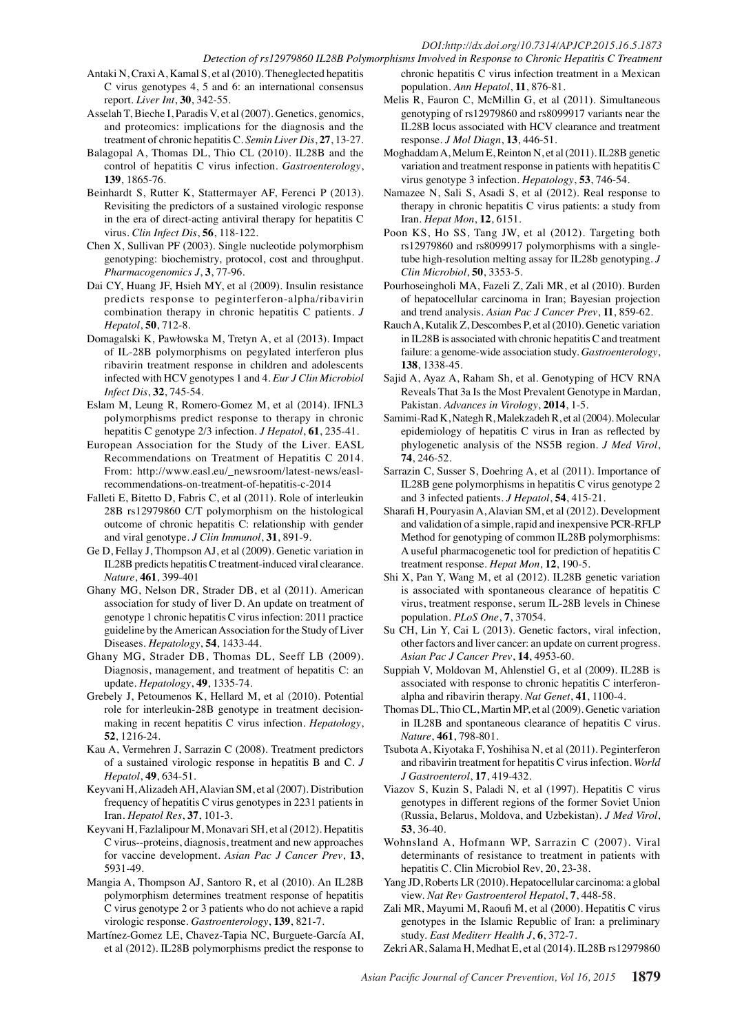# *DOI:http://dx.doi.org/10.7314/APJCP.2015.16.5.1873*

- Antaki N, Craxi A, Kamal S, et al (2010). Theneglected hepatitis C virus genotypes 4, 5 and 6: an international consensus report. *Liver Int*, **30**, 342-55.
- Asselah T, Bieche I, Paradis V, et al (2007). Genetics, genomics, and proteomics: implications for the diagnosis and the treatment of chronic hepatitis C. *Semin Liver Dis*, **27**, 13-27.
- Balagopal A, Thomas DL, Thio CL (2010). IL28B and the control of hepatitis C virus infection. *Gastroenterology*, **139**, 1865-76.
- Beinhardt S, Rutter K, Stattermayer AF, Ferenci P (2013). Revisiting the predictors of a sustained virologic response in the era of direct-acting antiviral therapy for hepatitis C virus. *Clin Infect Dis*, **56**, 118-122.
- Chen X, Sullivan PF (2003). Single nucleotide polymorphism genotyping: biochemistry, protocol, cost and throughput. *Pharmacogenomics J*, **3**, 77-96.
- Dai CY, Huang JF, Hsieh MY, et al (2009). Insulin resistance predicts response to peginterferon-alpha/ribavirin combination therapy in chronic hepatitis C patients. *J Hepatol*, **50**, 712-8.
- Domagalski K, Pawłowska M, Tretyn A, et al (2013). Impact of IL-28B polymorphisms on pegylated interferon plus ribavirin treatment response in children and adolescents infected with HCV genotypes 1 and 4. *Eur J Clin Microbiol Infect Dis*, **32**, 745-54.
- Eslam M, Leung R, Romero-Gomez M, et al (2014). IFNL3 polymorphisms predict response to therapy in chronic hepatitis C genotype 2/3 infection. *J Hepatol*, **61**, 235-41.
- European Association for the Study of the Liver. EASL Recommendations on Treatment of Hepatitis C 2014. From: http://www.easl.eu/\_newsroom/latest-news/easlrecommendations-on-treatment-of-hepatitis-c-2014
- Falleti E, Bitetto D, Fabris C, et al (2011). Role of interleukin 28B rs12979860 C/T polymorphism on the histological outcome of chronic hepatitis C: relationship with gender and viral genotype. *J Clin Immunol*, **31**, 891-9.
- Ge D, Fellay J, Thompson AJ, et al (2009). Genetic variation in IL28B predicts hepatitis C treatment-induced viral clearance. *Nature*, **461**, 399-401
- Ghany MG, Nelson DR, Strader DB, et al (2011). American association for study of liver D. An update on treatment of genotype 1 chronic hepatitis C virus infection: 2011 practice guideline by the American Association for the Study of Liver Diseases. *Hepatology*, **54**, 1433-44.
- Ghany MG, Strader DB, Thomas DL, Seeff LB (2009). Diagnosis, management, and treatment of hepatitis C: an update. *Hepatology*, **49**, 1335-74.
- Grebely J, Petoumenos K, Hellard M, et al (2010). Potential role for interleukin-28B genotype in treatment decisionmaking in recent hepatitis C virus infection. *Hepatology*, **52**, 1216-24.
- Kau A, Vermehren J, Sarrazin C (2008). Treatment predictors of a sustained virologic response in hepatitis B and C. *J Hepatol*, **49**, 634-51.
- Keyvani H, Alizadeh AH, Alavian SM, et al (2007). Distribution frequency of hepatitis C virus genotypes in 2231 patients in Iran. *Hepatol Res*, **37**, 101-3.
- Keyvani H, Fazlalipour M, Monavari SH, et al (2012). Hepatitis C virus--proteins, diagnosis, treatment and new approaches for vaccine development. *Asian Pac J Cancer Prev*, **13**, 5931-49.
- Mangia A, Thompson AJ, Santoro R, et al (2010). An IL28B polymorphism determines treatment response of hepatitis C virus genotype 2 or 3 patients who do not achieve a rapid virologic response. *Gastroenterology*, **139**, 821-7.
- Martínez-Gomez LE, Chavez-Tapia NC, Burguete-García AI, et al (2012). IL28B polymorphisms predict the response to
- *Detection of rs12979860 IL28B Polymorphisms Involved in Response to Chronic Hepatitis C Treatment* chronic hepatitis C virus infection treatment in a Mexican population. *Ann Hepatol*, **11**, 876-81.
	- Melis R, Fauron C, McMillin G, et al (2011). Simultaneous genotyping of rs12979860 and rs8099917 variants near the IL28B locus associated with HCV clearance and treatment response. *J Mol Diagn*, **13**, 446-51.
	- Moghaddam A, Melum E, Reinton N, et al (2011). IL28B genetic variation and treatment response in patients with hepatitis C virus genotype 3 infection. *Hepatology*, **53**, 746-54.
	- Namazee N, Sali S, Asadi S, et al (2012). Real response to therapy in chronic hepatitis C virus patients: a study from Iran. *Hepat Mon*, **12**, 6151.
	- Poon KS, Ho SS, Tang JW, et al (2012). Targeting both rs12979860 and rs8099917 polymorphisms with a singletube high-resolution melting assay for IL28b genotyping. *J Clin Microbiol*, **50**, 3353-5.
	- Pourhoseingholi MA, Fazeli Z, Zali MR, et al (2010). Burden of hepatocellular carcinoma in Iran; Bayesian projection and trend analysis. *Asian Pac J Cancer Prev*, **11**, 859-62.
	- Rauch A, Kutalik Z, Descombes P, et al (2010). Genetic variation in IL28B is associated with chronic hepatitis C and treatment failure: a genome-wide association study. *Gastroenterology*, **138**, 1338-45.
	- Sajid A, Ayaz A, Raham Sh, et al. Genotyping of HCV RNA Reveals That 3a Is the Most Prevalent Genotype in Mardan, Pakistan. *Advances in Virology*, **2014**, 1-5.
	- Samimi-Rad K, Nategh R, Malekzadeh R, et al (2004). Molecular epidemiology of hepatitis C virus in Iran as reflected by phylogenetic analysis of the NS5B region. *J Med Virol*, **74**, 246-52.
	- Sarrazin C, Susser S, Doehring A, et al (2011). Importance of IL28B gene polymorphisms in hepatitis C virus genotype 2 and 3 infected patients. *J Hepatol*, **54**, 415-21.
	- Sharafi H, Pouryasin A, Alavian SM, et al (2012). Development and validation of a simple, rapid and inexpensive PCR-RFLP Method for genotyping of common IL28B polymorphisms: A useful pharmacogenetic tool for prediction of hepatitis C treatment response. *Hepat Mon*, **12**, 190-5.
	- Shi X, Pan Y, Wang M, et al (2012). IL28B genetic variation is associated with spontaneous clearance of hepatitis C virus, treatment response, serum IL-28B levels in Chinese population. *PLoS One*, **7**, 37054.
	- Su CH, Lin Y, Cai L (2013). Genetic factors, viral infection, other factors and liver cancer: an update on current progress. *Asian Pac J Cancer Prev*, **14**, 4953-60.
	- Suppiah V, Moldovan M, Ahlenstiel G, et al (2009). IL28B is associated with response to chronic hepatitis C interferonalpha and ribavirin therapy. *Nat Genet*, **41**, 1100-4.
	- Thomas DL, Thio CL, Martin MP, et al (2009). Genetic variation in IL28B and spontaneous clearance of hepatitis C virus. *Nature*, **461**, 798-801.
	- Tsubota A, Kiyotaka F, Yoshihisa N, et al (2011). Peginterferon and ribavirin treatment for hepatitis C virus infection. *World J Gastroenterol*, **17**, 419-432.
	- Viazov S, Kuzin S, Paladi N, et al (1997). Hepatitis C virus genotypes in different regions of the former Soviet Union (Russia, Belarus, Moldova, and Uzbekistan). *J Med Virol*, **53**, 36-40.
	- Wohnsland A, Hofmann WP, Sarrazin C (2007). Viral determinants of resistance to treatment in patients with hepatitis C. Clin Microbiol Rev, 20, 23-38.
	- Yang JD, Roberts LR (2010). Hepatocellular carcinoma: a global view. *Nat Rev Gastroenterol Hepatol*, **7**, 448-58.
	- Zali MR, Mayumi M, Raoufi M, et al (2000). Hepatitis C virus genotypes in the Islamic Republic of Iran: a preliminary study. *East Mediterr Health J*, **6**, 372-7.
	- Zekri AR, Salama H, Medhat E, et al (2014). IL28B rs12979860